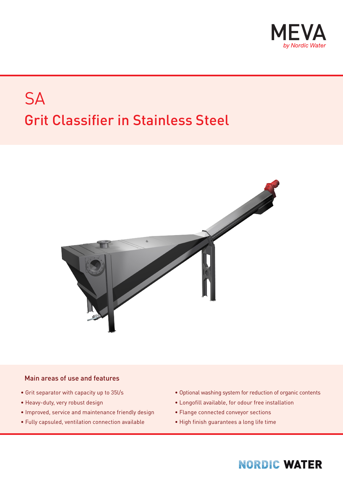

# **SA** Grit Classifier in Stainless Steel



#### Main areas of use and features

- Grit separator with capacity up to 35l/s
- Heavy-duty, very robust design
- Improved, service and maintenance friendly design
- Fully capsuled, ventilation connection available
- Optional washing system for reduction of organic contents
- Longofill available, for odour free installation
- Flange connected conveyor sections
- High finish guarantees a long life time

#### **NORDIC WATER**